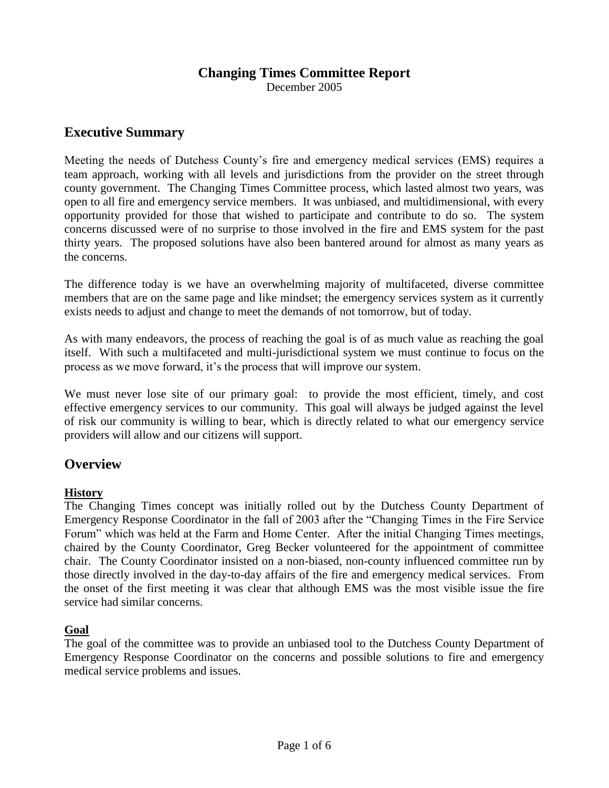# **Changing Times Committee Report**

December 2005

# **Executive Summary**

Meeting the needs of Dutchess County's fire and emergency medical services (EMS) requires a team approach, working with all levels and jurisdictions from the provider on the street through county government. The Changing Times Committee process, which lasted almost two years, was open to all fire and emergency service members. It was unbiased, and multidimensional, with every opportunity provided for those that wished to participate and contribute to do so. The system concerns discussed were of no surprise to those involved in the fire and EMS system for the past thirty years. The proposed solutions have also been bantered around for almost as many years as the concerns.

The difference today is we have an overwhelming majority of multifaceted, diverse committee members that are on the same page and like mindset; the emergency services system as it currently exists needs to adjust and change to meet the demands of not tomorrow, but of today.

As with many endeavors, the process of reaching the goal is of as much value as reaching the goal itself. With such a multifaceted and multi-jurisdictional system we must continue to focus on the process as we move forward, it's the process that will improve our system.

We must never lose site of our primary goal: to provide the most efficient, timely, and cost effective emergency services to our community. This goal will always be judged against the level of risk our community is willing to bear, which is directly related to what our emergency service providers will allow and our citizens will support.

# **Overview**

# **History**

The Changing Times concept was initially rolled out by the Dutchess County Department of Emergency Response Coordinator in the fall of 2003 after the "Changing Times in the Fire Service Forum" which was held at the Farm and Home Center. After the initial Changing Times meetings, chaired by the County Coordinator, Greg Becker volunteered for the appointment of committee chair. The County Coordinator insisted on a non-biased, non-county influenced committee run by those directly involved in the day-to-day affairs of the fire and emergency medical services. From the onset of the first meeting it was clear that although EMS was the most visible issue the fire service had similar concerns.

# **Goal**

The goal of the committee was to provide an unbiased tool to the Dutchess County Department of Emergency Response Coordinator on the concerns and possible solutions to fire and emergency medical service problems and issues.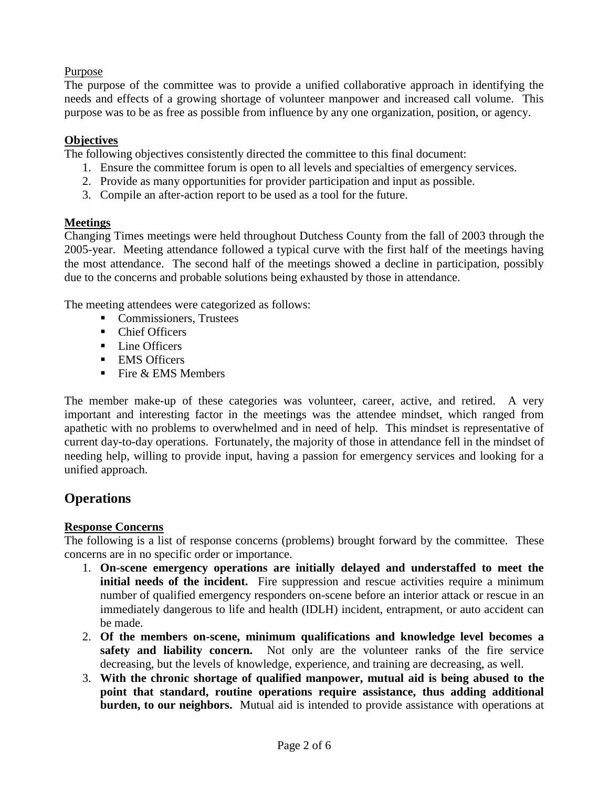# Purpose

The purpose of the committee was to provide a unified collaborative approach in identifying the needs and effects of a growing shortage of volunteer manpower and increased call volume. This purpose was to be as free as possible from influence by any one organization, position, or agency.

# **Objectives**

The following objectives consistently directed the committee to this final document:

- 1. Ensure the committee forum is open to all levels and specialties of emergency services.
- 2. Provide as many opportunities for provider participation and input as possible.
- 3. Compile an after-action report to be used as a tool for the future.

### **Meetings**

Changing Times meetings were held throughout Dutchess County from the fall of 2003 through the 2005-year. Meeting attendance followed a typical curve with the first half of the meetings having the most attendance. The second half of the meetings showed a decline in participation, possibly due to the concerns and probable solutions being exhausted by those in attendance.

The meeting attendees were categorized as follows:

- Commissioners, Trustees
- Chief Officers
- Line Officers
- **EMS** Officers
- $\blacksquare$  Fire & EMS Members

The member make-up of these categories was volunteer, career, active, and retired. A very important and interesting factor in the meetings was the attendee mindset, which ranged from apathetic with no problems to overwhelmed and in need of help. This mindset is representative of current day-to-day operations. Fortunately, the majority of those in attendance fell in the mindset of needing help, willing to provide input, having a passion for emergency services and looking for a unified approach.

# **Operations**

#### **Response Concerns**

The following is a list of response concerns (problems) brought forward by the committee. These concerns are in no specific order or importance.

- 1. **On-scene emergency operations are initially delayed and understaffed to meet the initial needs of the incident.** Fire suppression and rescue activities require a minimum number of qualified emergency responders on-scene before an interior attack or rescue in an immediately dangerous to life and health (IDLH) incident, entrapment, or auto accident can be made.
- 2. **Of the members on-scene, minimum qualifications and knowledge level becomes a safety and liability concern.** Not only are the volunteer ranks of the fire service decreasing, but the levels of knowledge, experience, and training are decreasing, as well.
- 3. **With the chronic shortage of qualified manpower, mutual aid is being abused to the point that standard, routine operations require assistance, thus adding additional burden, to our neighbors.** Mutual aid is intended to provide assistance with operations at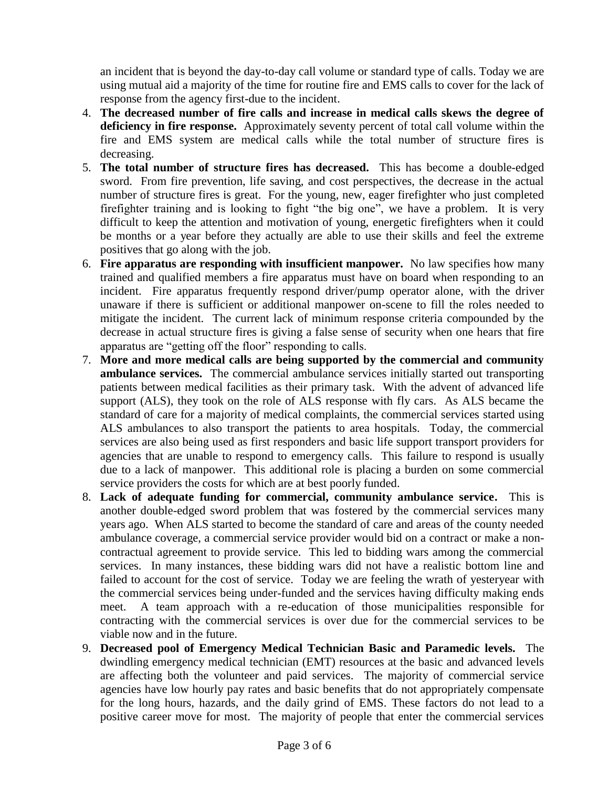an incident that is beyond the day-to-day call volume or standard type of calls. Today we are using mutual aid a majority of the time for routine fire and EMS calls to cover for the lack of response from the agency first-due to the incident.

- 4. **The decreased number of fire calls and increase in medical calls skews the degree of deficiency in fire response.** Approximately seventy percent of total call volume within the fire and EMS system are medical calls while the total number of structure fires is decreasing.
- 5. **The total number of structure fires has decreased.** This has become a double-edged sword. From fire prevention, life saving, and cost perspectives, the decrease in the actual number of structure fires is great. For the young, new, eager firefighter who just completed firefighter training and is looking to fight "the big one", we have a problem. It is very difficult to keep the attention and motivation of young, energetic firefighters when it could be months or a year before they actually are able to use their skills and feel the extreme positives that go along with the job.
- 6. **Fire apparatus are responding with insufficient manpower.** No law specifies how many trained and qualified members a fire apparatus must have on board when responding to an incident. Fire apparatus frequently respond driver/pump operator alone, with the driver unaware if there is sufficient or additional manpower on-scene to fill the roles needed to mitigate the incident. The current lack of minimum response criteria compounded by the decrease in actual structure fires is giving a false sense of security when one hears that fire apparatus are "getting off the floor" responding to calls.
- 7. **More and more medical calls are being supported by the commercial and community ambulance services.** The commercial ambulance services initially started out transporting patients between medical facilities as their primary task. With the advent of advanced life support (ALS), they took on the role of ALS response with fly cars. As ALS became the standard of care for a majority of medical complaints, the commercial services started using ALS ambulances to also transport the patients to area hospitals. Today, the commercial services are also being used as first responders and basic life support transport providers for agencies that are unable to respond to emergency calls. This failure to respond is usually due to a lack of manpower. This additional role is placing a burden on some commercial service providers the costs for which are at best poorly funded.
- 8. **Lack of adequate funding for commercial, community ambulance service.** This is another double-edged sword problem that was fostered by the commercial services many years ago. When ALS started to become the standard of care and areas of the county needed ambulance coverage, a commercial service provider would bid on a contract or make a noncontractual agreement to provide service. This led to bidding wars among the commercial services. In many instances, these bidding wars did not have a realistic bottom line and failed to account for the cost of service. Today we are feeling the wrath of yesteryear with the commercial services being under-funded and the services having difficulty making ends meet. A team approach with a re-education of those municipalities responsible for contracting with the commercial services is over due for the commercial services to be viable now and in the future.
- 9. **Decreased pool of Emergency Medical Technician Basic and Paramedic levels.** The dwindling emergency medical technician (EMT) resources at the basic and advanced levels are affecting both the volunteer and paid services. The majority of commercial service agencies have low hourly pay rates and basic benefits that do not appropriately compensate for the long hours, hazards, and the daily grind of EMS. These factors do not lead to a positive career move for most. The majority of people that enter the commercial services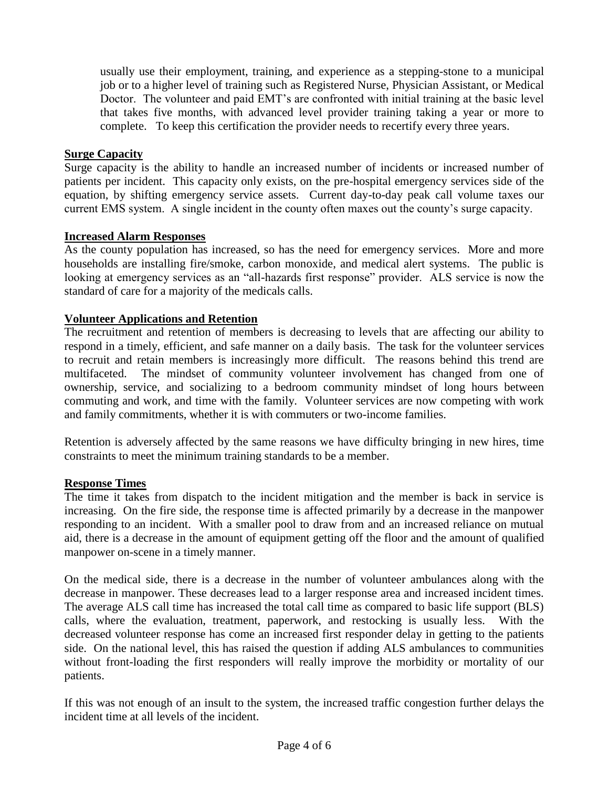usually use their employment, training, and experience as a stepping-stone to a municipal job or to a higher level of training such as Registered Nurse, Physician Assistant, or Medical Doctor. The volunteer and paid EMT's are confronted with initial training at the basic level that takes five months, with advanced level provider training taking a year or more to complete. To keep this certification the provider needs to recertify every three years.

### **Surge Capacity**

Surge capacity is the ability to handle an increased number of incidents or increased number of patients per incident. This capacity only exists, on the pre-hospital emergency services side of the equation, by shifting emergency service assets. Current day-to-day peak call volume taxes our current EMS system. A single incident in the county often maxes out the county's surge capacity.

#### **Increased Alarm Responses**

As the county population has increased, so has the need for emergency services. More and more households are installing fire/smoke, carbon monoxide, and medical alert systems. The public is looking at emergency services as an "all-hazards first response" provider. ALS service is now the standard of care for a majority of the medicals calls.

### **Volunteer Applications and Retention**

The recruitment and retention of members is decreasing to levels that are affecting our ability to respond in a timely, efficient, and safe manner on a daily basis. The task for the volunteer services to recruit and retain members is increasingly more difficult. The reasons behind this trend are multifaceted. The mindset of community volunteer involvement has changed from one of ownership, service, and socializing to a bedroom community mindset of long hours between commuting and work, and time with the family. Volunteer services are now competing with work and family commitments, whether it is with commuters or two-income families.

Retention is adversely affected by the same reasons we have difficulty bringing in new hires, time constraints to meet the minimum training standards to be a member.

#### **Response Times**

The time it takes from dispatch to the incident mitigation and the member is back in service is increasing. On the fire side, the response time is affected primarily by a decrease in the manpower responding to an incident. With a smaller pool to draw from and an increased reliance on mutual aid, there is a decrease in the amount of equipment getting off the floor and the amount of qualified manpower on-scene in a timely manner.

On the medical side, there is a decrease in the number of volunteer ambulances along with the decrease in manpower. These decreases lead to a larger response area and increased incident times. The average ALS call time has increased the total call time as compared to basic life support (BLS) calls, where the evaluation, treatment, paperwork, and restocking is usually less. With the decreased volunteer response has come an increased first responder delay in getting to the patients side. On the national level, this has raised the question if adding ALS ambulances to communities without front-loading the first responders will really improve the morbidity or mortality of our patients.

If this was not enough of an insult to the system, the increased traffic congestion further delays the incident time at all levels of the incident.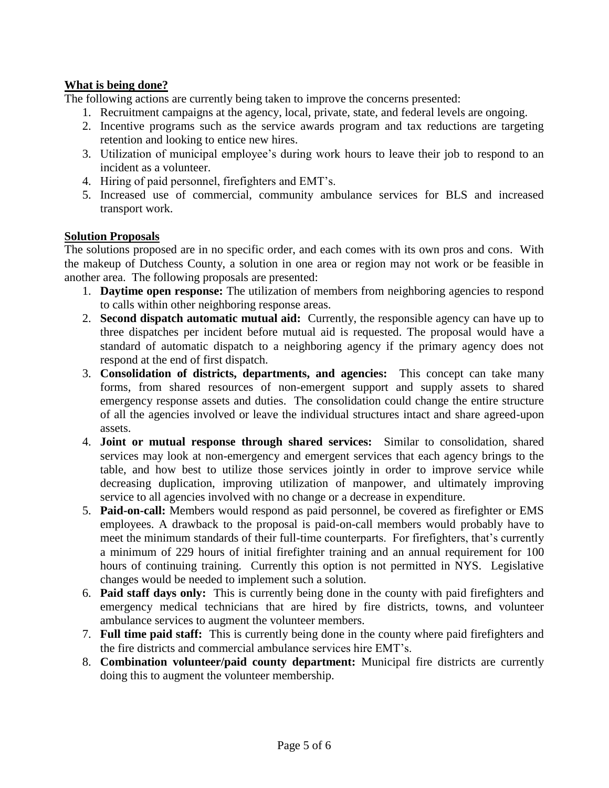# **What is being done?**

The following actions are currently being taken to improve the concerns presented:

- 1. Recruitment campaigns at the agency, local, private, state, and federal levels are ongoing.
- 2. Incentive programs such as the service awards program and tax reductions are targeting retention and looking to entice new hires.
- 3. Utilization of municipal employee's during work hours to leave their job to respond to an incident as a volunteer.
- 4. Hiring of paid personnel, firefighters and EMT's.
- 5. Increased use of commercial, community ambulance services for BLS and increased transport work.

### **Solution Proposals**

The solutions proposed are in no specific order, and each comes with its own pros and cons. With the makeup of Dutchess County, a solution in one area or region may not work or be feasible in another area. The following proposals are presented:

- 1. **Daytime open response:** The utilization of members from neighboring agencies to respond to calls within other neighboring response areas.
- 2. **Second dispatch automatic mutual aid:** Currently, the responsible agency can have up to three dispatches per incident before mutual aid is requested. The proposal would have a standard of automatic dispatch to a neighboring agency if the primary agency does not respond at the end of first dispatch.
- 3. **Consolidation of districts, departments, and agencies:** This concept can take many forms, from shared resources of non-emergent support and supply assets to shared emergency response assets and duties. The consolidation could change the entire structure of all the agencies involved or leave the individual structures intact and share agreed-upon assets.
- 4. **Joint or mutual response through shared services:** Similar to consolidation, shared services may look at non-emergency and emergent services that each agency brings to the table, and how best to utilize those services jointly in order to improve service while decreasing duplication, improving utilization of manpower, and ultimately improving service to all agencies involved with no change or a decrease in expenditure.
- 5. **Paid-on-call:** Members would respond as paid personnel, be covered as firefighter or EMS employees. A drawback to the proposal is paid-on-call members would probably have to meet the minimum standards of their full-time counterparts. For firefighters, that's currently a minimum of 229 hours of initial firefighter training and an annual requirement for 100 hours of continuing training. Currently this option is not permitted in NYS. Legislative changes would be needed to implement such a solution.
- 6. **Paid staff days only:** This is currently being done in the county with paid firefighters and emergency medical technicians that are hired by fire districts, towns, and volunteer ambulance services to augment the volunteer members.
- 7. **Full time paid staff:** This is currently being done in the county where paid firefighters and the fire districts and commercial ambulance services hire EMT's.
- 8. **Combination volunteer/paid county department:** Municipal fire districts are currently doing this to augment the volunteer membership.